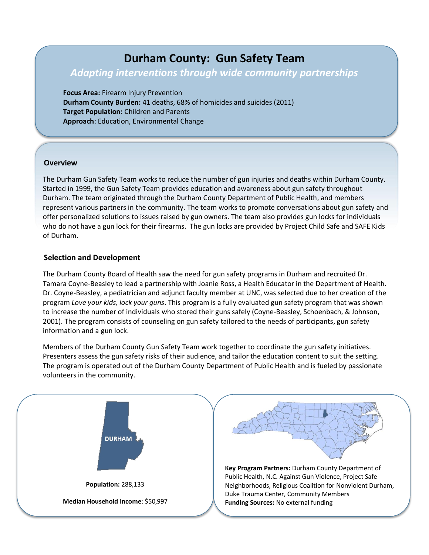# **Durham County: Gun Safety Team**

# *Adapting interventions through wide community partnerships*

**Focus Area:** Firearm Injury Prevention **Durham County Burden:** 41 deaths, 68% of homicides and suicides (2011) **Target Population:** Children and Parents **Approach**: Education, Environmental Change

#### **Overview**

 The Durham Gun Safety Team works to reduce the number of gun injuries and deaths within Durham County. Started in 1999, the Gun Safety Team provides education and awareness about gun safety throughout Durham. The team originated through the Durham County Department of Public Health, and members represent various partners in the community. The team works to promote conversations about gun safety and offer personalized solutions to issues raised by gun owners. The team also provides gun locks for individuals who do not have a gun lock for their firearms. The gun locks are provided by Project Child Safe and SAFE Kids of Durham.

#### **Selection and Development**

 The Durham County Board of Health saw the need for gun safety programs in Durham and recruited Dr. Tamara Coyne-Beasley to lead a partnership with Joanie Ross, a Health Educator in the Department of Health. Dr. Coyne-Beasley, a pediatrician and adjunct faculty member at UNC, was selected due to her creation of the program *Love your kids, lock your guns*. This program is a fully evaluated gun safety program that was shown to increase the number of individuals who stored their guns safely (Coyne-Beasley, Schoenbach, & Johnson, 2001). The program consists of counseling on gun safety tailored to the needs of participants, gun safety information and a gun lock.

 Members of the Durham County Gun Safety Team work together to coordinate the gun safety initiatives. Presenters assess the gun safety risks of their audience, and tailor the education content to suit the setting. The program is operated out of the Durham County Department of Public Health and is fueled by passionate volunteers in the community.